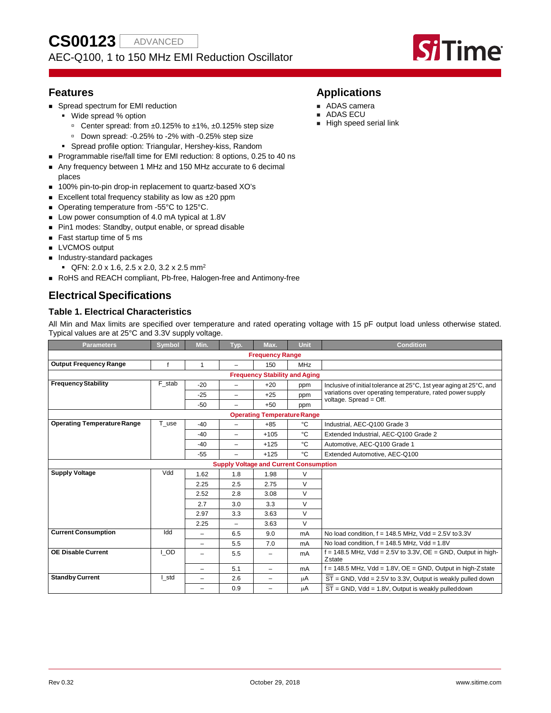# AEC-Q100, 1 to 150 MHz EMI Reduction Oscillator



# **Features**

- **Spread spectrum for EMI reduction** 
	- Wide spread % option
		- Center spread: from ±0.125% to ±1%, ±0.125% step size
		- Down spread: -0.25% to -2% with -0.25% step size
	- Spread profile option: Triangular, Hershey-kiss, Random
- Programmable rise/fall time for EMI reduction: 8 options, 0.25 to 40 ns
- Any frequency between 1 MHz and 150 MHz accurate to 6 decimal places
- 100% pin-to-pin drop-in replacement to quartz-based XO's
- Excellent total frequency stability as low as  $\pm 20$  ppm
- Operating temperature from -55°C to 125°C.
- **Low power consumption of 4.0 mA typical at 1.8V**
- Pin1 modes: Standby, output enable, or spread disable
- Fast startup time of 5 ms
- **LVCMOS** output
- **Industry-standard packages** 
	- $\bullet$  QFN: 2.0 x 1.6, 2.5 x 2.0, 3.2 x 2.5 mm<sup>2</sup>
- RoHS and REACH compliant, Pb-free, Halogen-free and Antimony-free

# **ElectricalSpecifications**

# **Table 1. Electrical Characteristics**

All Min and Max limits are specified over temperature and rated operating voltage with 15 pF output load unless otherwise stated. Typical values are at 25°C and 3.3V supply voltage.

| <b>Parameters</b>                  | Symbol                               | Min.                     | Typ.                                          | Max.                     | Unit           | <b>Condition</b>                                                                    |  |  |  |  |  |
|------------------------------------|--------------------------------------|--------------------------|-----------------------------------------------|--------------------------|----------------|-------------------------------------------------------------------------------------|--|--|--|--|--|
|                                    |                                      |                          |                                               | <b>Frequency Range</b>   |                |                                                                                     |  |  |  |  |  |
| <b>Output Frequency Range</b>      |                                      | $\mathbf{1}$             | ÷                                             | 150                      | MHz            |                                                                                     |  |  |  |  |  |
|                                    | <b>Frequency Stability and Aging</b> |                          |                                               |                          |                |                                                                                     |  |  |  |  |  |
| <b>Frequency Stability</b>         | F stab                               | $-20$                    | ÷                                             | $+20$                    | ppm            | Inclusive of initial tolerance at 25°C, 1st year aging at 25°C, and                 |  |  |  |  |  |
|                                    |                                      | $-25$                    | $\overline{\phantom{m}}$                      | $+25$                    | ppm            | variations over operating temperature, rated power supply<br>voltage. Spread = Off. |  |  |  |  |  |
|                                    |                                      | $-50$                    | $\overline{\phantom{0}}$                      | $+50$                    | ppm            |                                                                                     |  |  |  |  |  |
| <b>Operating Temperature Range</b> |                                      |                          |                                               |                          |                |                                                                                     |  |  |  |  |  |
| <b>Operating Temperature Range</b> | T use                                | $-40$                    | ÷                                             | $+85$                    | °C             | Industrial, AEC-Q100 Grade 3                                                        |  |  |  |  |  |
|                                    |                                      | $-40$                    | $\overline{\phantom{0}}$                      | $+105$                   | °C             | Extended Industrial, AEC-Q100 Grade 2                                               |  |  |  |  |  |
|                                    |                                      | $-40$                    | $\qquad \qquad$                               | $+125$                   | °C             | Automotive, AEC-Q100 Grade 1                                                        |  |  |  |  |  |
|                                    |                                      | $-55$                    | ÷                                             | $+125$                   | °C             | Extended Automotive, AEC-Q100                                                       |  |  |  |  |  |
|                                    |                                      |                          | <b>Supply Voltage and Current Consumption</b> |                          |                |                                                                                     |  |  |  |  |  |
| <b>Supply Voltage</b>              | bbV                                  | 1.62                     | 1.8                                           | 1.98                     | $\vee$         |                                                                                     |  |  |  |  |  |
|                                    |                                      | 2.25                     | 2.5                                           | 2.75                     | V              |                                                                                     |  |  |  |  |  |
|                                    |                                      | 2.52                     | 2.8                                           | 3.08                     | V              |                                                                                     |  |  |  |  |  |
|                                    |                                      | 2.7                      | 3.0                                           | 3.3                      | V              |                                                                                     |  |  |  |  |  |
|                                    |                                      | 2.97                     | 3.3                                           | 3.63                     | V              |                                                                                     |  |  |  |  |  |
|                                    |                                      | 2.25                     | $\overline{\phantom{m}}$                      | 3.63                     | V              |                                                                                     |  |  |  |  |  |
| <b>Current Consumption</b>         | Idd                                  | $\overline{\phantom{0}}$ | 6.5                                           | 9.0                      | mA             | No load condition, $f = 148.5$ MHz, Vdd = 2.5V to 3.3V                              |  |  |  |  |  |
|                                    |                                      | $\overline{\phantom{0}}$ | 5.5                                           | 7.0                      | m <sub>A</sub> | No load condition, $f = 148.5$ MHz, Vdd = 1.8V                                      |  |  |  |  |  |
| <b>OE Disable Current</b>          | I OD                                 | $\overline{\phantom{0}}$ | 5.5                                           | -                        | mA             | $f = 148.5$ MHz, Vdd = 2.5V to 3.3V, OE = GND, Output in high-<br>Zstate            |  |  |  |  |  |
|                                    |                                      | $\overline{\phantom{0}}$ | 5.1                                           | -                        | mA             | $f = 148.5$ MHz, Vdd = 1.8V, OE = GND, Output in high-Z state                       |  |  |  |  |  |
| <b>Standby Current</b>             | I std                                | $\overline{\phantom{0}}$ | 2.6                                           | $\overline{\phantom{0}}$ | μA             | $ST = GND$ , Vdd = 2.5V to 3.3V, Output is weakly pulled down                       |  |  |  |  |  |
|                                    |                                      | $\overline{\phantom{0}}$ | 0.9                                           | -                        | μA             | $ST = GND$ , $Vdd = 1.8V$ , Output is weakly pulleddown                             |  |  |  |  |  |

# **Applications**

- ADAS camera
- ADAS ECU
- High speed serial link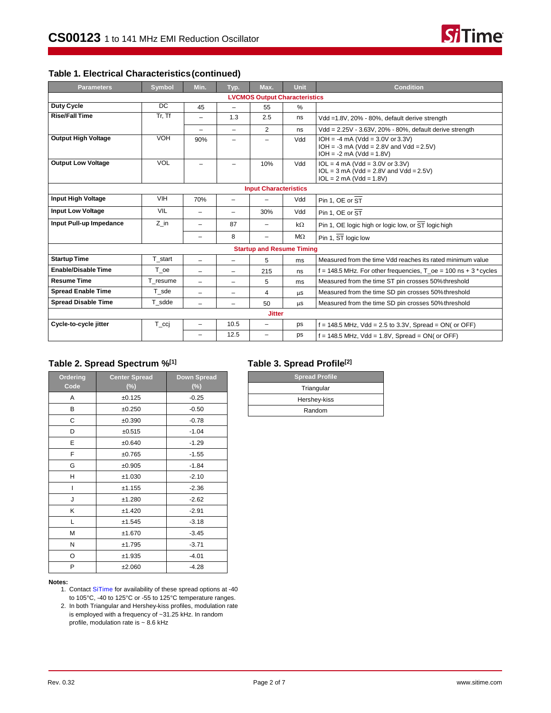# **Table 1. Electrical Characteristics(continued)**

| <b>Parameters</b>          | <b>Symbol</b> | Min.                     | Typ.                     | Max.                                 | <b>Unit</b> | <b>Condition</b>                                                                                              |
|----------------------------|---------------|--------------------------|--------------------------|--------------------------------------|-------------|---------------------------------------------------------------------------------------------------------------|
|                            |               |                          |                          | <b>LVCMOS Output Characteristics</b> |             |                                                                                                               |
| Duty Cycle                 | DC            | 45                       | $\overline{\phantom{0}}$ | 55                                   | %           |                                                                                                               |
| <b>Rise/Fall Time</b>      | Tr, Tf        | $\overline{\phantom{m}}$ | 1.3                      | 2.5                                  | ns          | Vdd =1.8V, 20% - 80%, default derive strength                                                                 |
|                            |               |                          | -                        | $\overline{2}$                       | ns          | Vdd = 2.25V - 3.63V, 20% - 80%, default derive strength                                                       |
| <b>Output High Voltage</b> | VOH           | 90%                      | -                        | -                                    | Vdd         | $IOH = -4 mA (Vdd = 3.0V or 3.3V)$<br>$IOH = -3 mA (Vdd = 2.8V and Vdd = 2.5V)$<br>$IOH = -2 mA (Vdd = 1.8V)$ |
| <b>Output Low Voltage</b>  | <b>VOL</b>    | $\overline{\phantom{m}}$ | -                        | 10%                                  | Vdd         | $IOL = 4 mA (Vdd = 3.0V or 3.3V)$<br>$IOL = 3 mA (Vdd = 2.8V and Vdd = 2.5V)$<br>$IOL = 2 mA (Vdd = 1.8V)$    |
|                            |               |                          |                          | <b>Input Characteristics</b>         |             |                                                                                                               |
| <b>Input High Voltage</b>  | <b>VIH</b>    | 70%                      | -                        |                                      | Vdd         | Pin 1. OE or ST                                                                                               |
| <b>Input Low Voltage</b>   | <b>VIL</b>    | -                        | -                        | 30%                                  | Vdd         | Pin 1, OE or ST                                                                                               |
| Input Pull-up Impedance    | Z in          | -                        | 87                       | -                                    | $k\Omega$   | Pin 1, OE logic high or logic low, or ST logic high                                                           |
|                            |               | -                        | 8                        | -                                    | $M\Omega$   | Pin 1, ST logic low                                                                                           |
|                            |               |                          |                          | <b>Startup and Resume Timing</b>     |             |                                                                                                               |
| <b>Startup Time</b>        | T start       | L,                       | $\overline{\phantom{0}}$ | 5                                    | ms          | Measured from the time Vdd reaches its rated minimum value                                                    |
| <b>Enable/Disable Time</b> | T oe          | -                        | -                        | 215                                  | ns          | $f = 148.5$ MHz. For other frequencies, T oe = 100 ns + 3 $*$ cycles                                          |
| <b>Resume Time</b>         | T resume      | $\overline{\phantom{0}}$ | -                        | 5                                    | ms          | Measured from the time ST pin crosses 50% threshold                                                           |
| <b>Spread Enable Time</b>  | T sde         | $=$                      | $\overline{\phantom{0}}$ | 4                                    | μs          | Measured from the time SD pin crosses 50% threshold                                                           |
| <b>Spread Disable Time</b> | T sdde        | -                        |                          | 50                                   | μs          | Measured from the time SD pin crosses 50% threshold                                                           |
|                            |               |                          |                          | <b>Jitter</b>                        |             |                                                                                                               |
| Cycle-to-cycle jitter      | T_ccj         | -                        | 10.5                     | $\overline{\phantom{0}}$             | ps          | $f = 148.5$ MHz, Vdd = 2.5 to 3.3V, Spread = ON( or OFF)                                                      |
|                            |               |                          | 12.5                     |                                      | ps          | $f = 148.5$ MHz, Vdd = 1.8V, Spread = ON( or OFF)                                                             |

# **Table 2. Spread Spectrum %[1]**

| Ordering<br>Code | <b>Center Spread</b><br>(%) | <b>Down Spread</b><br>(%) |
|------------------|-----------------------------|---------------------------|
| A                | ±0.125                      | $-0.25$                   |
| в                | ±0.250                      | $-0.50$                   |
| С                | ±0.390                      | $-0.78$                   |
| D                | ±0.515                      | $-1.04$                   |
| E                | ±0.640                      | $-1.29$                   |
| F                | ±0.765                      | $-1.55$                   |
| G                | ±0.905                      | $-1.84$                   |
| н                | ±1.030                      | $-2.10$                   |
| I                | ±1.155                      | $-2.36$                   |
| J                | ±1.280                      | $-2.62$                   |
| Κ                | ±1.420                      | $-2.91$                   |
| L                | ±1.545                      | $-3.18$                   |
| M                | ±1.670                      | $-3.45$                   |
| Ν                | ±1.795                      | $-3.71$                   |
| O                | ±1.935                      | $-4.01$                   |
| P                | ±2.060                      | $-4.28$                   |

#### **Notes:**

- 1. Contac[t SiTime](http://www.sitime.com/company/contact-sitime-corporation) for availability of these spread options at -40 to 105°C, -40 to 125°C or -55 to 125°C temperature ranges.
- 2. In both Triangular and Hershey-kiss profiles, modulation rate is employed with a frequency of ~31.25 kHz. In random profile, modulation rate is ~ 8.6 kHz

# **Table 3. Spread Profile[2]**

| <b>Spread Profile</b> |
|-----------------------|
| Triangular            |
| Hershey-kiss          |
| Random                |

**Si**Time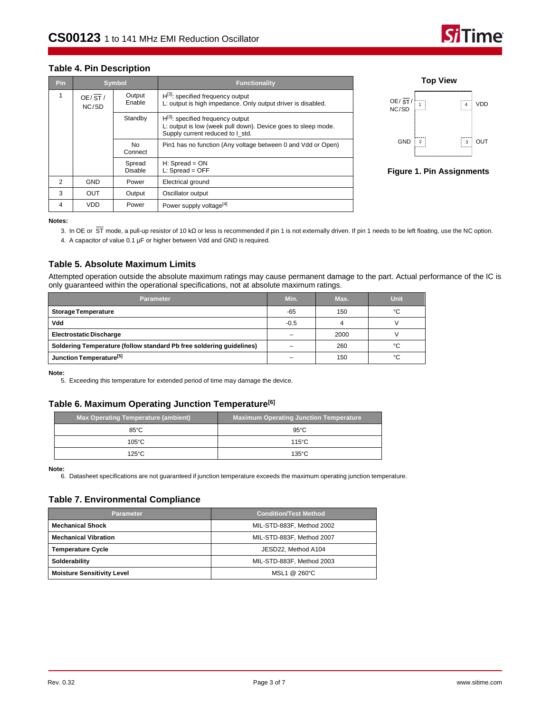# me

#### **Table 4. Pin Description**

| <b>Pin</b>     |                 | <b>Symbol</b>     | <b>Functionality</b>                                                                                                                        |
|----------------|-----------------|-------------------|---------------------------------------------------------------------------------------------------------------------------------------------|
| 1              | OE/ST/<br>NC/SD | Output<br>Enable  | $H^{[3]}$ : specified frequency output<br>L: output is high impedance. Only output driver is disabled.                                      |
|                |                 | Standby           | $H^{[3]}$ : specified frequency output<br>L: output is low (week pull down). Device goes to sleep mode.<br>Supply current reduced to I std. |
|                |                 | No.<br>Connect    | Pin1 has no function (Any voltage between 0 and Vdd or Open)                                                                                |
|                |                 | Spread<br>Disable | $H:$ Spread = $ON$<br>$L:$ Spread = OFF                                                                                                     |
| $\mathfrak{p}$ | <b>GND</b>      | Power             | Electrical ground                                                                                                                           |
| 3              | OUT             | Output            | Oscillator output                                                                                                                           |
| 4              | VDD             | Power             | Power supply voltage <sup>[4]</sup>                                                                                                         |



#### <span id="page-2-1"></span>**Figure 1. Pin Assignments**

<span id="page-2-0"></span>**Notes:**

3. In OE or ST mode, a pull-up resistor of 10 kΩ or less is recommended if pin 1 is not externally driven. If pin 1 needs to be left floating, use the NC option.

4. A capacitor of value 0.1 µF or higher between Vdd and GND is required.

### **Table 5. Absolute Maximum Limits**

Attempted operation outside the absolute maximum ratings may cause permanent damage to the part. Actual performance of the IC is only guaranteed within the operational specifications, not at absolute maximum ratings.

| <b>Parameter</b>                                                     | Min.   | Max. | Unit |
|----------------------------------------------------------------------|--------|------|------|
| <b>Storage Temperature</b>                                           | -65    | 150  | °۲   |
| Vdd                                                                  | $-0.5$ |      |      |
| <b>Electrostatic Discharge</b>                                       |        | 2000 |      |
| Soldering Temperature (follow standard Pb free soldering guidelines) |        | 260  | °۲   |
| Junction Temperature <sup>[5]</sup>                                  |        | 150  | °C   |

<span id="page-2-2"></span>**Note:**

5. Exceeding this temperature for extended period of time may damage the device.

#### **Table 6. Maximum Operating Junction Temperature[6]**

| Max Operating Temperature (ambient) | Maximum Operating Junction Temperature |
|-------------------------------------|----------------------------------------|
| $85^{\circ}$ C                      | $95^{\circ}$ C                         |
| $105^{\circ}$ C                     | $115^{\circ}$ C                        |
| $125^\circ C$                       | $135^{\circ}$ C                        |

**Note:**

6. Datasheet specifications are not guaranteed if junction temperature exceeds the maximum operating junction temperature.

### **Table 7. Environmental Compliance**

| <b>Parameter</b>                  | <b>Condition/Test Method</b> |  |  |  |
|-----------------------------------|------------------------------|--|--|--|
| <b>Mechanical Shock</b>           | MIL-STD-883F, Method 2002    |  |  |  |
| <b>Mechanical Vibration</b>       | MIL-STD-883F, Method 2007    |  |  |  |
| <b>Temperature Cycle</b>          | JESD22. Method A104          |  |  |  |
| Solderability                     | MIL-STD-883F, Method 2003    |  |  |  |
| <b>Moisture Sensitivity Level</b> | MSL1 @ 260°C                 |  |  |  |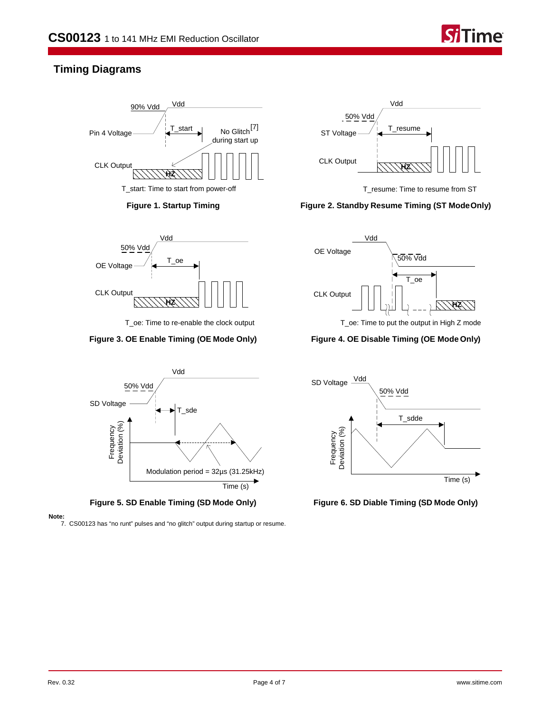

# **Timing Diagrams**







T\_oe: Time to re-enable the clock output





#### **Note:**

7. CS00123 has "no runt" pulses and "no glitch" output during startup or resume.



T\_resume: Time to resume from ST

# **Figure 1. Startup Timing Figure 2. Standby Resume Timing (ST ModeOnly)**



T\_oe: Time to put the output in High Z mode

# **Figure 3. OE Enable Timing (OE Mode Only) Figure 4. OE Disable Timing (OE Mode Only)**

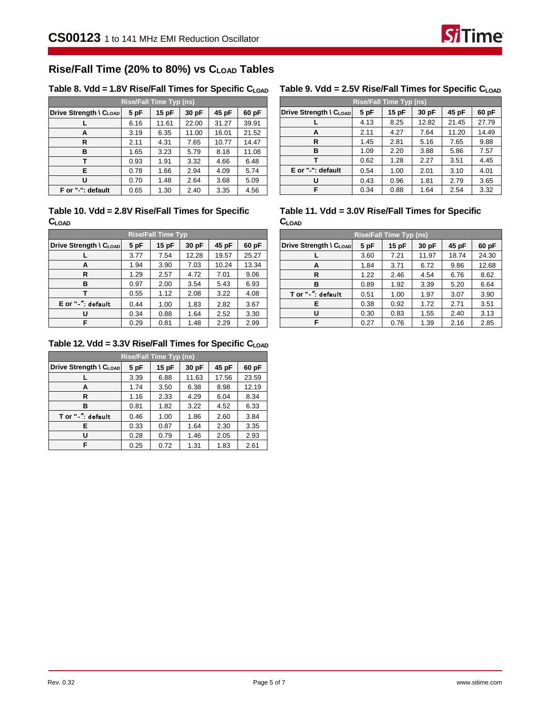

# **Rise/Fall Time (20% to 80%) vs CLOAD Tables**

## Table 8. Vdd = 1.8V Rise/Fall Times for Specific C<sub>LOAD</sub> Table 9. Vdd = 2.5V Rise/Fall Times for Specific C<sub>LOAD</sub>

| <b>Rise/Fall Time Typ (ns)</b>                                     |      |       |       |       |       |  |  |
|--------------------------------------------------------------------|------|-------|-------|-------|-------|--|--|
| 60 pF<br>5 pF<br>15 pF<br>30 pF<br>45 pF<br>Drive Strength \ CLOAD |      |       |       |       |       |  |  |
|                                                                    | 6.16 | 11.61 | 22.00 | 31.27 | 39.91 |  |  |
| A                                                                  | 3.19 | 6.35  | 11.00 | 16.01 | 21.52 |  |  |
| R                                                                  | 2.11 | 4.31  | 7.65  | 10.77 | 14.47 |  |  |
| в                                                                  | 1.65 | 3.23  | 5.79  | 8.18  | 11.08 |  |  |
| т                                                                  | 0.93 | 1.91  | 3.32  | 4.66  | 6.48  |  |  |
| Е                                                                  | 0.78 | 1.66  | 2.94  | 4.09  | 5.74  |  |  |
| U                                                                  | 0.70 | 1.48  | 2.64  | 3.68  | 5.09  |  |  |
| F or "-": default                                                  | 0.65 | 1.30  | 2.40  | 3.35  | 4.56  |  |  |

# **Table 10. Vdd = 2.8V Rise/Fall Times for Specific CLOAD**

| <b>Rise/Fall Time Typ</b> |      |      |       |       |       |  |  |  |
|---------------------------|------|------|-------|-------|-------|--|--|--|
| Drive Strength \ CLOAD    | 5 pF | 15pF | 30 pF | 45 pF | 60 pF |  |  |  |
|                           | 3.77 | 7.54 | 12.28 | 19.57 | 25.27 |  |  |  |
| А                         | 1.94 | 3.90 | 7.03  | 10.24 | 13.34 |  |  |  |
| R                         | 1.29 | 2.57 | 4.72  | 7.01  | 9.06  |  |  |  |
| в                         | 0.97 | 2.00 | 3.54  | 5.43  | 6.93  |  |  |  |
|                           | 0.55 | 1.12 | 2.08  | 3.22  | 4.08  |  |  |  |
| E or "-": default         | 0.44 | 1.00 | 1.83  | 2.82  | 3.67  |  |  |  |
|                           | 0.34 | 0.88 | 1.64  | 2.52  | 3.30  |  |  |  |
| F                         | 0.29 | 0.81 | 1.48  | 2.29  | 2.99  |  |  |  |

# **Table 12. Vdd = 3.3V Rise/Fall Times for Specific CLOAD**

| <b>Rise/Fall Time Typ (ns)</b> |      |       |       |       |       |  |  |  |
|--------------------------------|------|-------|-------|-------|-------|--|--|--|
| Drive Strength \ CLOAD         | 5 pF | 15 pF | 30 pF | 45 pF | 60 pF |  |  |  |
|                                | 3.39 | 6.88  | 11.63 | 17.56 | 23.59 |  |  |  |
| А                              | 1.74 | 3.50  | 6.38  | 8.98  | 12.19 |  |  |  |
| R                              | 1.16 | 2.33  | 4.29  | 6.04  | 8.34  |  |  |  |
| в                              | 0.81 | 1.82  | 3.22  | 4.52  | 6.33  |  |  |  |
| T or "-" default               | 0.46 | 1.00  | 1.86  | 2.60  | 3.84  |  |  |  |
| Е                              | 0.33 | 0.87  | 1.64  | 2.30  | 3.35  |  |  |  |
| U                              | 0.28 | 0.79  | 1.46  | 2.05  | 2.93  |  |  |  |
| F                              | 0.25 | 0.72  | 1.31  | 1.83  | 2.61  |  |  |  |

| <b>Rise/Fall Time Typ (ns)</b> |      |      |       |       |       |  |  |  |
|--------------------------------|------|------|-------|-------|-------|--|--|--|
| Drive Strength \ CLOAD         | 5pF  | 15pF | 30 pF | 45 pF | 60 pF |  |  |  |
|                                | 4.13 | 8.25 | 12.82 | 21.45 | 27.79 |  |  |  |
| A                              | 2.11 | 4.27 | 7.64  | 11.20 | 14.49 |  |  |  |
| R                              | 1.45 | 2.81 | 5.16  | 7.65  | 9.88  |  |  |  |
| в                              | 1.09 | 2.20 | 3.88  | 5.86  | 7.57  |  |  |  |
|                                | 0.62 | 1.28 | 2.27  | 3.51  | 4.45  |  |  |  |
| E or "-": default              | 0.54 | 1.00 | 2.01  | 3.10  | 4.01  |  |  |  |
|                                | 0.43 | 0.96 | 1.81  | 2.79  | 3.65  |  |  |  |
| F.                             | 0.34 | 0.88 | 1.64  | 2.54  | 3.32  |  |  |  |

### **Table 11. Vdd = 3.0V Rise/Fall Times for Specific CLOAD**

| <b>Rise/Fall Time Typ (ns)</b>     |      |       |       |       |       |
|------------------------------------|------|-------|-------|-------|-------|
| Drive Strength \ C <sub>LOAD</sub> | 5 pF | 15 pF | 30 pF | 45 pF | 60 pF |
|                                    | 3.60 | 7.21  | 11.97 | 18.74 | 24.30 |
| А                                  | 1.84 | 3.71  | 6.72  | 9.86  | 12.68 |
| R                                  | 1.22 | 2.46  | 4.54  | 6.76  | 8.62  |
| в                                  | 0.89 | 1.92  | 3.39  | 5.20  | 6.64  |
| T or "-" default                   | 0.51 | 1.00  | 1.97  | 3.07  | 3.90  |
| Е                                  | 0.38 | 0.92  | 1.72  | 2.71  | 3.51  |
| U                                  | 0.30 | 0.83  | 1.55  | 2.40  | 3.13  |
| F                                  | 0.27 | 0.76  | 1.39  | 2.16  | 2.85  |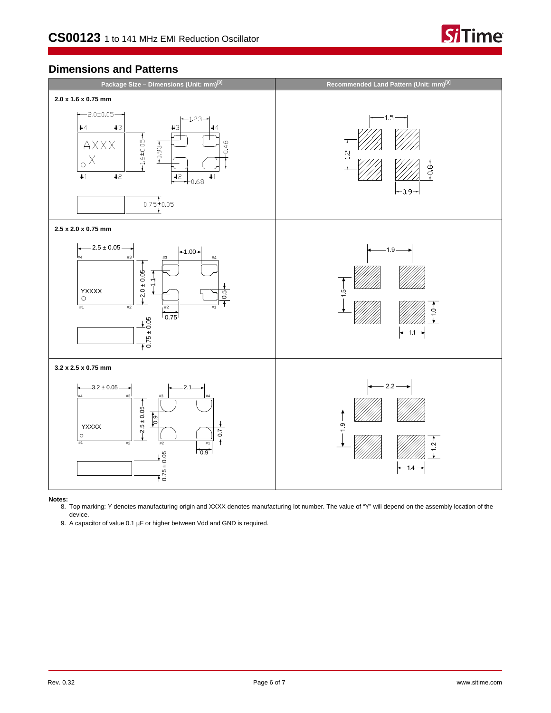

# **Dimensions and Patterns**



**Notes:** 8. Top marking: Y denotes manufacturing origin and XXXX denotes manufacturing lot number. The value of "Y" will depend on the assembly location of the device.

<span id="page-5-0"></span>9. A capacitor of value 0.1 µF or higher between Vdd and GND is required.